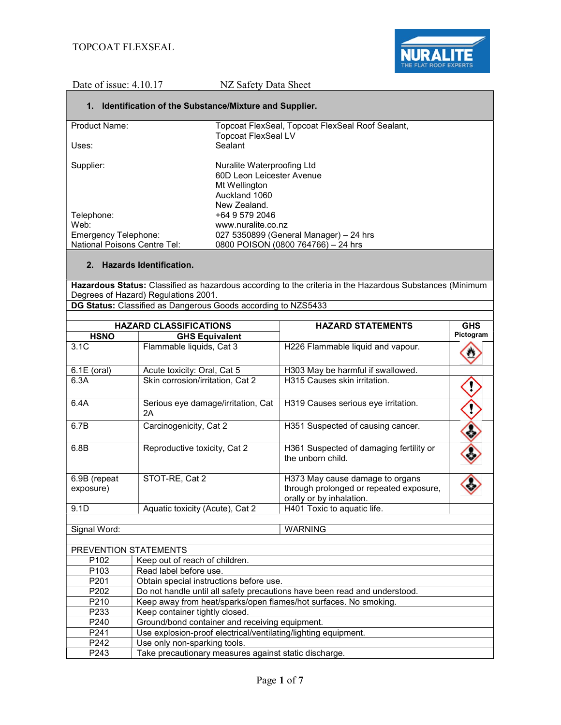## 1. Identification of the Substance/Mixture and Supplier.

| <b>Product Name:</b>                | Topcoat FlexSeal, Topcoat FlexSeal Roof Sealant, |
|-------------------------------------|--------------------------------------------------|
|                                     | <b>Topcoat FlexSeal LV</b>                       |
| Uses:                               | Sealant                                          |
|                                     |                                                  |
| Supplier:                           | Nuralite Waterproofing Ltd                       |
|                                     | 60D Leon Leicester Avenue                        |
|                                     | Mt Wellington                                    |
|                                     | Auckland 1060                                    |
|                                     | New Zealand.                                     |
| Telephone:                          | +64 9 579 2046                                   |
| Web:                                | www.nuralite.co.nz                               |
| Emergency Telephone:                | 027 5350899 (General Manager) – 24 hrs           |
| <b>National Poisons Centre Tel:</b> | 0800 POISON (0800 764766) - 24 hrs               |

## 2. Hazards Identification.

Hazardous Status: Classified as hazardous according to the criteria in the Hazardous Substances (Minimum Degrees of Hazard) Regulations 2001.

DG Status: Classified as Dangerous Goods according to NZS5433

| <b>HAZARD CLASSIFICATIONS</b>                   |                                          | <b>HAZARD STATEMENTS</b>                                                                               | <b>GHS</b> |
|-------------------------------------------------|------------------------------------------|--------------------------------------------------------------------------------------------------------|------------|
| <b>HSNO</b>                                     | <b>GHS Equivalent</b>                    |                                                                                                        | Pictogram  |
| 3.1C                                            | Flammable liquids, Cat 3                 | H226 Flammable liquid and vapour.                                                                      |            |
| $6.1E$ (oral)                                   | Acute toxicity: Oral, Cat 5              | H303 May be harmful if swallowed.                                                                      |            |
| 6.3A                                            | Skin corrosion/irritation, Cat 2         | H315 Causes skin irritation.                                                                           |            |
| 6.4A                                            | Serious eye damage/irritation, Cat<br>2A | H319 Causes serious eye irritation.                                                                    |            |
| 6.7B                                            | Carcinogenicity, Cat 2                   | H351 Suspected of causing cancer.                                                                      |            |
| 6.8B                                            | Reproductive toxicity, Cat 2             | H361 Suspected of damaging fertility or<br>the unborn child.                                           |            |
| 6.9B (repeat<br>exposure)                       | STOT-RE, Cat 2                           | H373 May cause damage to organs<br>through prolonged or repeated exposure,<br>orally or by inhalation. |            |
| 9.1D                                            | Aquatic toxicity (Acute), Cat 2          | H401 Toxic to aquatic life.                                                                            |            |
| Signal Word:                                    |                                          | <b>WARNING</b>                                                                                         |            |
| PREVENTION STATEMENTS                           |                                          |                                                                                                        |            |
| P <sub>102</sub>                                | Keep out of reach of children.           |                                                                                                        |            |
| P <sub>103</sub>                                | Read label before use.                   |                                                                                                        |            |
| P201<br>Obtain special instructions before use. |                                          |                                                                                                        |            |

| P <sub>202</sub> | Do not handle until all safety precautions have been read and understood. |
|------------------|---------------------------------------------------------------------------|
| P <sub>210</sub> | Keep away from heat/sparks/open flames/hot surfaces. No smoking.          |
| P <sub>233</sub> | Keep container tightly closed.                                            |
| P <sub>240</sub> | Ground/bond container and receiving equipment.                            |
| P241             | Use explosion-proof electrical/ventilating/lighting equipment.            |
|                  |                                                                           |

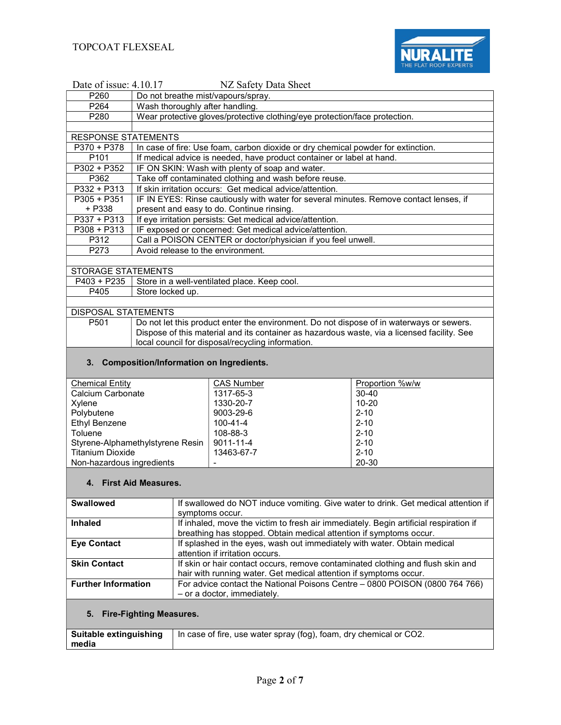

| Date of issue: 4.10.17<br>NZ Safety Data Sheet |                                                                            |                                                                                                             |                       |  |
|------------------------------------------------|----------------------------------------------------------------------------|-------------------------------------------------------------------------------------------------------------|-----------------------|--|
| P260                                           |                                                                            | Do not breathe mist/vapours/spray.                                                                          |                       |  |
| P264                                           | Wash thoroughly after handling.                                            |                                                                                                             |                       |  |
| P280                                           | Wear protective gloves/protective clothing/eye protection/face protection. |                                                                                                             |                       |  |
|                                                |                                                                            |                                                                                                             |                       |  |
| <b>RESPONSE STATEMENTS</b>                     |                                                                            |                                                                                                             |                       |  |
| P370 + P378                                    |                                                                            | In case of fire: Use foam, carbon dioxide or dry chemical powder for extinction.                            |                       |  |
| P <sub>101</sub>                               |                                                                            | If medical advice is needed, have product container or label at hand.                                       |                       |  |
| P302 + P352                                    |                                                                            | IF ON SKIN: Wash with plenty of soap and water.                                                             |                       |  |
| P362                                           |                                                                            | Take off contaminated clothing and wash before reuse.                                                       |                       |  |
| P332 + P313                                    |                                                                            | If skin irritation occurs: Get medical advice/attention.                                                    |                       |  |
| $P305 + P351$                                  |                                                                            | IF IN EYES: Rinse cautiously with water for several minutes. Remove contact lenses, if                      |                       |  |
| + P338                                         |                                                                            | present and easy to do. Continue rinsing.                                                                   |                       |  |
| P337 + P313                                    |                                                                            | If eye irritation persists: Get medical advice/attention.                                                   |                       |  |
| $P308 + P313$                                  |                                                                            | IF exposed or concerned: Get medical advice/attention.                                                      |                       |  |
| P312                                           |                                                                            | Call a POISON CENTER or doctor/physician if you feel unwell.                                                |                       |  |
| P273                                           | Avoid release to the environment.                                          |                                                                                                             |                       |  |
| <b>STORAGE STATEMENTS</b>                      |                                                                            |                                                                                                             |                       |  |
| P403 + P235                                    |                                                                            | Store in a well-ventilated place. Keep cool.                                                                |                       |  |
| P405                                           | Store locked up.                                                           |                                                                                                             |                       |  |
|                                                |                                                                            |                                                                                                             |                       |  |
| DISPOSAL STATEMENTS                            |                                                                            |                                                                                                             |                       |  |
| P501                                           |                                                                            | Do not let this product enter the environment. Do not dispose of in waterways or sewers.                    |                       |  |
|                                                |                                                                            | Dispose of this material and its container as hazardous waste, via a licensed facility. See                 |                       |  |
|                                                |                                                                            | local council for disposal/recycling information.                                                           |                       |  |
|                                                |                                                                            |                                                                                                             |                       |  |
| 3.                                             | <b>Composition/Information on Ingredients.</b>                             |                                                                                                             |                       |  |
|                                                |                                                                            |                                                                                                             |                       |  |
| <b>Chemical Entity</b>                         |                                                                            | <b>CAS Number</b>                                                                                           | Proportion %w/w       |  |
| Calcium Carbonate                              |                                                                            | 1317-65-3                                                                                                   | 30-40                 |  |
| Xylene                                         |                                                                            | 1330-20-7<br>9003-29-6                                                                                      | $10 - 20$<br>$2 - 10$ |  |
| Polybutene<br><b>Ethyl Benzene</b>             |                                                                            | 100-41-4                                                                                                    | $2 - 10$              |  |
| Toluene                                        |                                                                            | 108-88-3                                                                                                    | $2 - 10$              |  |
|                                                | Styrene-Alphamethylstyrene Resin                                           | 9011-11-4                                                                                                   | $2 - 10$              |  |
| <b>Titanium Dioxide</b>                        |                                                                            | 13463-67-7                                                                                                  | $2 - 10$              |  |
| Non-hazardous ingredients                      |                                                                            |                                                                                                             | 20-30                 |  |
|                                                |                                                                            |                                                                                                             |                       |  |
|                                                | 4. First Aid Measures.                                                     |                                                                                                             |                       |  |
|                                                |                                                                            |                                                                                                             |                       |  |
| <b>Swallowed</b>                               |                                                                            | If swallowed do NOT induce vomiting. Give water to drink. Get medical attention if                          |                       |  |
|                                                |                                                                            | symptoms occur.                                                                                             |                       |  |
| <b>Inhaled</b>                                 |                                                                            | If inhaled, move the victim to fresh air immediately. Begin artificial respiration if                       |                       |  |
|                                                |                                                                            | breathing has stopped. Obtain medical attention if symptoms occur.                                          |                       |  |
| <b>Eye Contact</b>                             |                                                                            | If splashed in the eyes, wash out immediately with water. Obtain medical<br>attention if irritation occurs. |                       |  |
| <b>Skin Contact</b>                            |                                                                            | If skin or hair contact occurs, remove contaminated clothing and flush skin and                             |                       |  |
|                                                |                                                                            | hair with running water. Get medical attention if symptoms occur.                                           |                       |  |
| <b>Further Information</b>                     |                                                                            | For advice contact the National Poisons Centre - 0800 POISON (0800 764 766)                                 |                       |  |
|                                                |                                                                            | - or a doctor, immediately.                                                                                 |                       |  |
|                                                |                                                                            |                                                                                                             |                       |  |
| 5.<br><b>Fire-Fighting Measures.</b>           |                                                                            |                                                                                                             |                       |  |
|                                                |                                                                            |                                                                                                             |                       |  |
| Suitable extinguishing                         |                                                                            | In case of fire, use water spray (fog), foam, dry chemical or CO2.                                          |                       |  |
| media                                          |                                                                            |                                                                                                             |                       |  |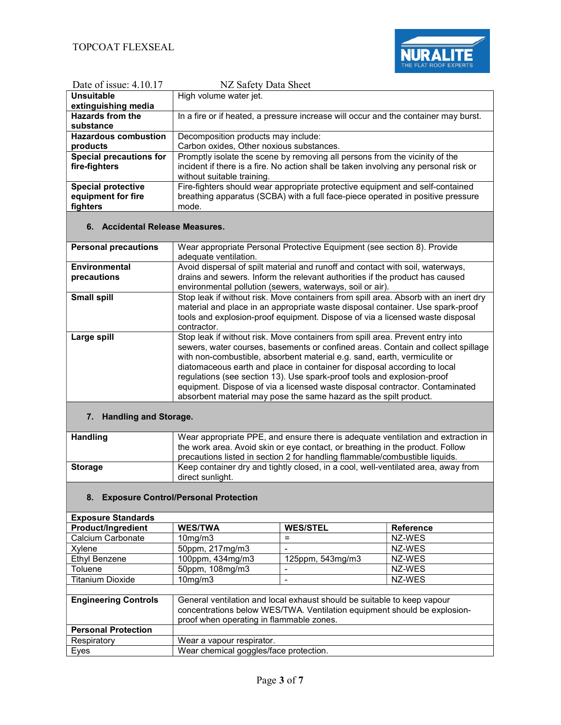

| Date of issue: $4.10.17$       | NZ Safety Data Sheet                                                                 |
|--------------------------------|--------------------------------------------------------------------------------------|
| Unsuitable                     | High volume water jet.                                                               |
| extinguishing media            |                                                                                      |
| <b>Hazards from the</b>        | In a fire or if heated, a pressure increase will occur and the container may burst.  |
| substance                      |                                                                                      |
| <b>Hazardous combustion</b>    | Decomposition products may include:                                                  |
| products                       | Carbon oxides, Other noxious substances.                                             |
| <b>Special precautions for</b> | Promptly isolate the scene by removing all persons from the vicinity of the          |
| fire-fighters                  | incident if there is a fire. No action shall be taken involving any personal risk or |
|                                | without suitable training.                                                           |
| <b>Special protective</b>      | Fire-fighters should wear appropriate protective equipment and self-contained        |
| equipment for fire             | breathing apparatus (SCBA) with a full face-piece operated in positive pressure      |
| fighters                       | mode.                                                                                |

# 6. Accidental Release Measures.

| <b>Personal precautions</b> | Wear appropriate Personal Protective Equipment (see section 8). Provide<br>adequate ventilation.                                                                                                                                                                                                                                                                                                                                                                                                                                                             |
|-----------------------------|--------------------------------------------------------------------------------------------------------------------------------------------------------------------------------------------------------------------------------------------------------------------------------------------------------------------------------------------------------------------------------------------------------------------------------------------------------------------------------------------------------------------------------------------------------------|
|                             |                                                                                                                                                                                                                                                                                                                                                                                                                                                                                                                                                              |
| Environmental               | Avoid dispersal of spilt material and runoff and contact with soil, waterways,                                                                                                                                                                                                                                                                                                                                                                                                                                                                               |
| precautions                 | drains and sewers. Inform the relevant authorities if the product has caused                                                                                                                                                                                                                                                                                                                                                                                                                                                                                 |
|                             | environmental pollution (sewers, waterways, soil or air).                                                                                                                                                                                                                                                                                                                                                                                                                                                                                                    |
| <b>Small spill</b>          | Stop leak if without risk. Move containers from spill area. Absorb with an inert dry<br>material and place in an appropriate waste disposal container. Use spark-proof                                                                                                                                                                                                                                                                                                                                                                                       |
|                             | tools and explosion-proof equipment. Dispose of via a licensed waste disposal                                                                                                                                                                                                                                                                                                                                                                                                                                                                                |
|                             | contractor.                                                                                                                                                                                                                                                                                                                                                                                                                                                                                                                                                  |
| Large spill                 | Stop leak if without risk. Move containers from spill area. Prevent entry into<br>sewers, water courses, basements or confined areas. Contain and collect spillage<br>with non-combustible, absorbent material e.g. sand, earth, vermiculite or<br>diatomaceous earth and place in container for disposal according to local<br>regulations (see section 13). Use spark-proof tools and explosion-proof<br>equipment. Dispose of via a licensed waste disposal contractor. Contaminated<br>absorbent material may pose the same hazard as the spilt product. |

# 7. Handling and Storage.

| <b>Handling</b> | Wear appropriate PPE, and ensure there is adequate ventilation and extraction in  |
|-----------------|-----------------------------------------------------------------------------------|
|                 | the work area. Avoid skin or eye contact, or breathing in the product. Follow     |
|                 | precautions listed in section 2 for handling flammable/combustible liquids.       |
| <b>Storage</b>  | Keep container dry and tightly closed, in a cool, well-ventilated area, away from |
|                 | direct sunlight.                                                                  |

## 8. Exposure Control/Personal Protection

#### Exposure Standards

| <b>Product/Ingredient</b> | <b>WES/TWA</b>         | <b>WES/STEL</b>           | <b>Reference</b> |
|---------------------------|------------------------|---------------------------|------------------|
| Calcium Carbonate         | 10 <sub>mq</sub> /m3   |                           | NZ-WES           |
| Xvlene                    | 50ppm, 217mg/m3        |                           | NZ-WFS           |
| Ethyl Benzene             | 100ppm, $434$ mg/m $3$ | $125$ ppm, $543$ mg/m $3$ | NZ-WES           |
| Toluene                   | $50$ ppm, 108mg/m $3$  |                           | NZ-WFS           |
| <b>Titanium Dioxide</b>   | $10$ mg/m $3$          | -                         | NZ-WES           |
|                           |                        |                           |                  |

| <b>Engineering Controls</b> | General ventilation and local exhaust should be suitable to keep vapour<br>concentrations below WES/TWA. Ventilation equipment should be explosion-<br>proof when operating in flammable zones. |
|-----------------------------|-------------------------------------------------------------------------------------------------------------------------------------------------------------------------------------------------|
| <b>Personal Protection</b>  |                                                                                                                                                                                                 |
| Respiratory                 | Wear a vapour respirator.                                                                                                                                                                       |
| Eyes                        | Wear chemical goggles/face protection.                                                                                                                                                          |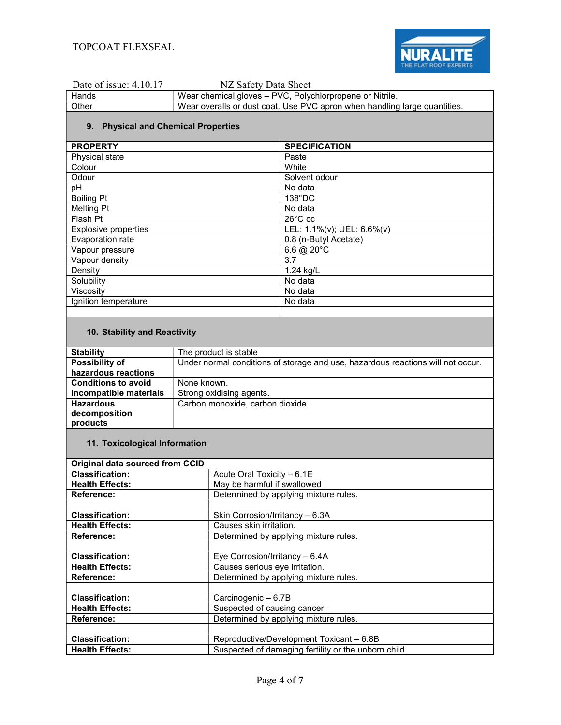

| Hands | Wear chemical gloves – PVC, Polychlorpropene or Nitrile.                  |
|-------|---------------------------------------------------------------------------|
| Other | Wear overalls or dust coat. Use PVC apron when handling large quantities. |

## 9. Physical and Chemical Properties

| <b>PROPERTY</b>             | <b>SPECIFICATION</b>       |
|-----------------------------|----------------------------|
| Physical state              | Paste                      |
| Colour                      | White                      |
| Odour                       | Solvent odour              |
| pH                          | No data                    |
| <b>Boiling Pt</b>           | 138°DC                     |
| <b>Melting Pt</b>           | No data                    |
| Flash Pt                    | $26^{\circ}$ C cc          |
| <b>Explosive properties</b> | LEL: 1.1%(v); UEL: 6.6%(v) |
| Evaporation rate            | 0.8 (n-Butyl Acetate)      |
| Vapour pressure             | 6.6 $@$ 20 $°C$            |
| Vapour density              | 3.7                        |
| Density                     | 1.24 kg/L                  |
| Solubility                  | No data                    |
| Viscositv                   | No data                    |
| Ignition temperature        | No data                    |
|                             |                            |

## 10. Stability and Reactivity

| <b>Stability</b>           | The product is stable                                                           |
|----------------------------|---------------------------------------------------------------------------------|
| Possibility of             | Under normal conditions of storage and use, hazardous reactions will not occur. |
| hazardous reactions        |                                                                                 |
| <b>Conditions to avoid</b> | None known.                                                                     |
| Incompatible materials     | Strong oxidising agents.                                                        |
| <b>Hazardous</b>           | Carbon monoxide, carbon dioxide.                                                |
| decomposition              |                                                                                 |
| products                   |                                                                                 |

## 11. Toxicological Information

| Original data sourced from CCID |                                                      |  |  |  |
|---------------------------------|------------------------------------------------------|--|--|--|
| <b>Classification:</b>          | Acute Oral Toxicity - 6.1E                           |  |  |  |
| <b>Health Effects:</b>          | May be harmful if swallowed                          |  |  |  |
| Reference:                      | Determined by applying mixture rules.                |  |  |  |
|                                 |                                                      |  |  |  |
| <b>Classification:</b>          | Skin Corrosion/Irritancy - 6.3A                      |  |  |  |
| <b>Health Effects:</b>          | Causes skin irritation.                              |  |  |  |
| Reference:                      | Determined by applying mixture rules.                |  |  |  |
|                                 |                                                      |  |  |  |
| <b>Classification:</b>          | Eye Corrosion/Irritancy - 6.4A                       |  |  |  |
| <b>Health Effects:</b>          | Causes serious eye irritation.                       |  |  |  |
| Reference:                      | Determined by applying mixture rules.                |  |  |  |
|                                 |                                                      |  |  |  |
| <b>Classification:</b>          | Carcinogenic - 6.7B                                  |  |  |  |
| <b>Health Effects:</b>          | Suspected of causing cancer.                         |  |  |  |
| Reference:                      | Determined by applying mixture rules.                |  |  |  |
|                                 |                                                      |  |  |  |
| <b>Classification:</b>          | Reproductive/Development Toxicant - 6.8B             |  |  |  |
| <b>Health Effects:</b>          | Suspected of damaging fertility or the unborn child. |  |  |  |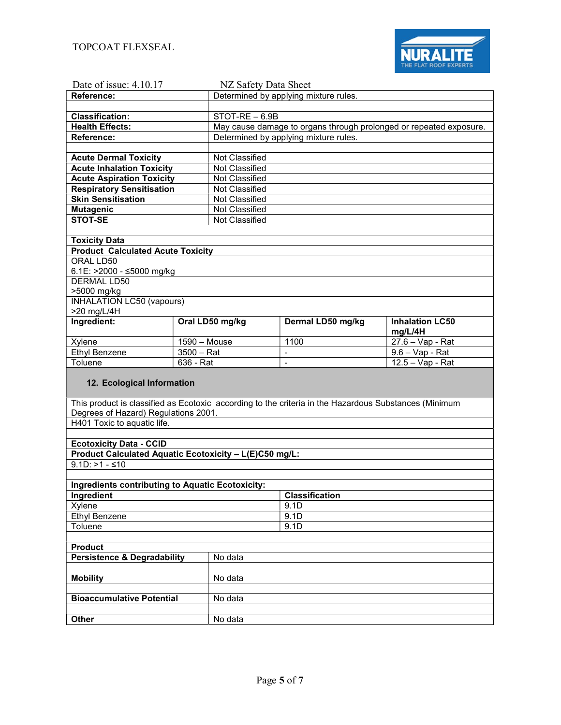

| Date of issue: 4.10.17                                                                                |              | NZ Safety Data Sheet |                                       |                                                                    |  |
|-------------------------------------------------------------------------------------------------------|--------------|----------------------|---------------------------------------|--------------------------------------------------------------------|--|
| Reference:                                                                                            |              |                      | Determined by applying mixture rules. |                                                                    |  |
|                                                                                                       |              |                      |                                       |                                                                    |  |
| <b>Classification:</b>                                                                                |              | STOT-RE - 6.9B       |                                       |                                                                    |  |
| <b>Health Effects:</b>                                                                                |              |                      |                                       | May cause damage to organs through prolonged or repeated exposure. |  |
| Reference:                                                                                            |              |                      | Determined by applying mixture rules. |                                                                    |  |
|                                                                                                       |              |                      |                                       |                                                                    |  |
| <b>Acute Dermal Toxicity</b>                                                                          |              | Not Classified       |                                       |                                                                    |  |
| <b>Acute Inhalation Toxicity</b>                                                                      |              | Not Classified       |                                       |                                                                    |  |
| <b>Acute Aspiration Toxicity</b>                                                                      |              | Not Classified       |                                       |                                                                    |  |
| <b>Respiratory Sensitisation</b>                                                                      |              | Not Classified       |                                       |                                                                    |  |
| <b>Skin Sensitisation</b>                                                                             |              | Not Classified       |                                       |                                                                    |  |
| <b>Mutagenic</b>                                                                                      |              | Not Classified       |                                       |                                                                    |  |
| <b>STOT-SE</b>                                                                                        |              | Not Classified       |                                       |                                                                    |  |
|                                                                                                       |              |                      |                                       |                                                                    |  |
| <b>Toxicity Data</b>                                                                                  |              |                      |                                       |                                                                    |  |
| <b>Product Calculated Acute Toxicity</b>                                                              |              |                      |                                       |                                                                    |  |
| ORAL LD50                                                                                             |              |                      |                                       |                                                                    |  |
| 6.1E: >2000 - ≤5000 mg/kg                                                                             |              |                      |                                       |                                                                    |  |
| DERMAL LD50                                                                                           |              |                      |                                       |                                                                    |  |
| >5000 mg/kg                                                                                           |              |                      |                                       |                                                                    |  |
| <b>INHALATION LC50 (vapours)</b>                                                                      |              |                      |                                       |                                                                    |  |
| >20 mg/L/4H                                                                                           |              |                      |                                       |                                                                    |  |
| Ingredient:                                                                                           |              | Oral LD50 mg/kg      | Dermal LD50 mg/kg                     | <b>Inhalation LC50</b>                                             |  |
| Xylene                                                                                                |              |                      | 1100                                  | mg/L/4H<br>$27.6 - Vap - Rat$                                      |  |
|                                                                                                       | 1590 - Mouse |                      |                                       |                                                                    |  |
|                                                                                                       |              |                      |                                       |                                                                    |  |
| Ethyl Benzene                                                                                         | $3500 - Rat$ |                      | $\overline{\phantom{a}}$              | 9.6 - Vap - Rat                                                    |  |
| Toluene                                                                                               | $636 - Rat$  |                      | $\blacksquare$                        | $12.5 - Vap - Rat$                                                 |  |
|                                                                                                       |              |                      |                                       |                                                                    |  |
| 12. Ecological Information                                                                            |              |                      |                                       |                                                                    |  |
|                                                                                                       |              |                      |                                       |                                                                    |  |
| This product is classified as Ecotoxic according to the criteria in the Hazardous Substances (Minimum |              |                      |                                       |                                                                    |  |
| Degrees of Hazard) Regulations 2001.                                                                  |              |                      |                                       |                                                                    |  |
| H401 Toxic to aquatic life.                                                                           |              |                      |                                       |                                                                    |  |
|                                                                                                       |              |                      |                                       |                                                                    |  |
| <b>Ecotoxicity Data - CCID</b><br>Product Calculated Aquatic Ecotoxicity - L(E)C50 mg/L:              |              |                      |                                       |                                                                    |  |
| $9.1D: > 1 - $10$                                                                                     |              |                      |                                       |                                                                    |  |
|                                                                                                       |              |                      |                                       |                                                                    |  |
| Ingredients contributing to Aquatic Ecotoxicity:                                                      |              |                      |                                       |                                                                    |  |
| Ingredient                                                                                            |              |                      | <b>Classification</b>                 |                                                                    |  |
| Xylene                                                                                                |              |                      | 9.1D                                  |                                                                    |  |
| <b>Ethyl Benzene</b>                                                                                  |              |                      | 9.1D                                  |                                                                    |  |
| Toluene                                                                                               |              |                      | 9.1D                                  |                                                                    |  |
|                                                                                                       |              |                      |                                       |                                                                    |  |
| <b>Product</b>                                                                                        |              |                      |                                       |                                                                    |  |
| <b>Persistence &amp; Degradability</b>                                                                |              | No data              |                                       |                                                                    |  |
|                                                                                                       |              |                      |                                       |                                                                    |  |
| <b>Mobility</b>                                                                                       |              | No data              |                                       |                                                                    |  |
|                                                                                                       |              |                      |                                       |                                                                    |  |
| <b>Bioaccumulative Potential</b>                                                                      |              | No data              |                                       |                                                                    |  |
| Other                                                                                                 |              | No data              |                                       |                                                                    |  |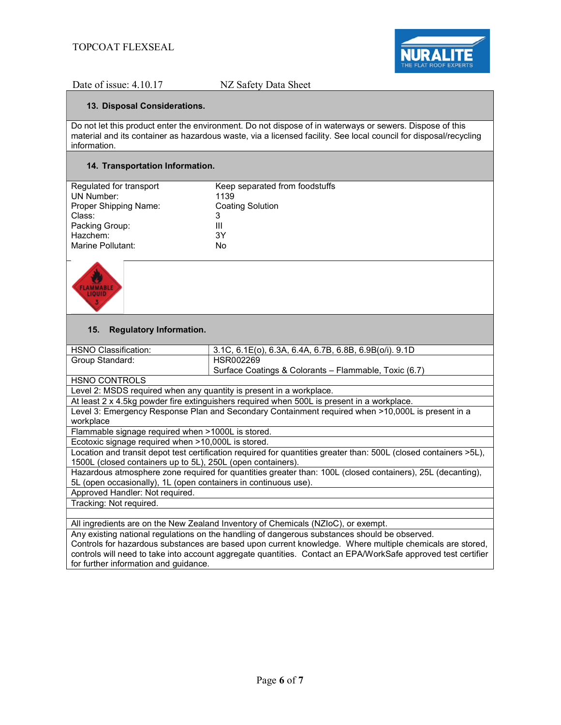

#### 13. Disposal Considerations.

Do not let this product enter the environment. Do not dispose of in waterways or sewers. Dispose of this material and its container as hazardous waste, via a licensed facility. See local council for disposal/recycling information.

## 14. Transportation Information.

| Regulated for transport | Keep separated from foodstuffs |
|-------------------------|--------------------------------|
| UN Number:              | 1139                           |
| Proper Shipping Name:   | <b>Coating Solution</b>        |
| Class:                  | 3                              |
| Packing Group:          | Ш                              |
| Hazchem:                | 3Υ                             |
| Marine Pollutant:       | No                             |
|                         |                                |



### 15. Regulatory Information.

| HSNO Classification:                                                                                              | 3.1C, 6.1E(o), 6.3A, 6.4A, 6.7B, 6.8B, 6.9B(o/i). 9.1D                                                   |  |  |  |  |
|-------------------------------------------------------------------------------------------------------------------|----------------------------------------------------------------------------------------------------------|--|--|--|--|
| Group Standard:                                                                                                   | HSR002269                                                                                                |  |  |  |  |
|                                                                                                                   | Surface Coatings & Colorants – Flammable, Toxic (6.7)                                                    |  |  |  |  |
| <b>HSNO CONTROLS</b>                                                                                              |                                                                                                          |  |  |  |  |
| Level 2: MSDS required when any quantity is present in a workplace.                                               |                                                                                                          |  |  |  |  |
| At least 2 x 4.5kg powder fire extinguishers required when 500L is present in a workplace.                        |                                                                                                          |  |  |  |  |
| Level 3: Emergency Response Plan and Secondary Containment required when >10,000L is present in a                 |                                                                                                          |  |  |  |  |
| workplace                                                                                                         |                                                                                                          |  |  |  |  |
| Flammable signage required when >1000L is stored.                                                                 |                                                                                                          |  |  |  |  |
| Ecotoxic signage required when >10,000L is stored.                                                                |                                                                                                          |  |  |  |  |
| Location and transit depot test certification required for quantities greater than: 500L (closed containers >5L), |                                                                                                          |  |  |  |  |
| 1500L (closed containers up to 5L), 250L (open containers).                                                       |                                                                                                          |  |  |  |  |
| Hazardous atmosphere zone required for quantities greater than: 100L (closed containers), 25L (decanting),        |                                                                                                          |  |  |  |  |
| 5L (open occasionally), 1L (open containers in continuous use).                                                   |                                                                                                          |  |  |  |  |
| Approved Handler: Not required.                                                                                   |                                                                                                          |  |  |  |  |
| Tracking: Not required.                                                                                           |                                                                                                          |  |  |  |  |
|                                                                                                                   |                                                                                                          |  |  |  |  |
| All ingredients are on the New Zealand Inventory of Chemicals (NZloC), or exempt.                                 |                                                                                                          |  |  |  |  |
| Any existing national regulations on the handling of dangerous substances should be observed.                     |                                                                                                          |  |  |  |  |
|                                                                                                                   | Controls for hazardous substances are based upon current knowledge. Where multiple chemicals are stored, |  |  |  |  |
| controls will need to take into account aggregate quantities. Contact an EPA/WorkSafe approved test certifier     |                                                                                                          |  |  |  |  |
| for further information and guidance.                                                                             |                                                                                                          |  |  |  |  |